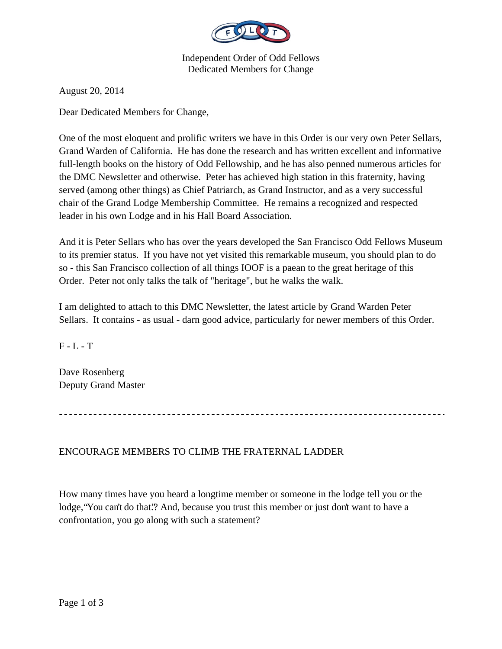

Independent Order of Odd Fellows Dedicated Members for Change

August 20, 2014

Dear Dedicated Members for Change,

One of the most eloquent and prolific writers we have in this Order is our very own Peter Sellars, Grand Warden of California. He has done the research and has written excellent and informative full-length books on the history of Odd Fellowship, and he has also penned numerous articles for the DMC Newsletter and otherwise. Peter has achieved high station in this fraternity, having served (among other things) as Chief Patriarch, as Grand Instructor, and as a very successful chair of the Grand Lodge Membership Committee. He remains a recognized and respected leader in his own Lodge and in his Hall Board Association.

And it is Peter Sellars who has over the years developed the San Francisco Odd Fellows Museum to its premier status. If you have not yet visited this remarkable museum, you should plan to do so - this San Francisco collection of all things IOOF is a paean to the great heritage of this Order. Peter not only talks the talk of "heritage", but he walks the walk.

I am delighted to attach to this DMC Newsletter, the latest article by Grand Warden Peter Sellars. It contains - as usual - darn good advice, particularly for newer members of this Order.

 $F - L - T$ 

Dave Rosenberg Deputy Grand Master

## ENCOURAGE MEMBERS TO CLIMB THE FRATERNAL LADDER

How many times have you heard a longtime member or someone in the lodge tell you or the lodge, "You can't do that."? And, because you trust this member or just don't want to have a confrontation, you go along with such a statement?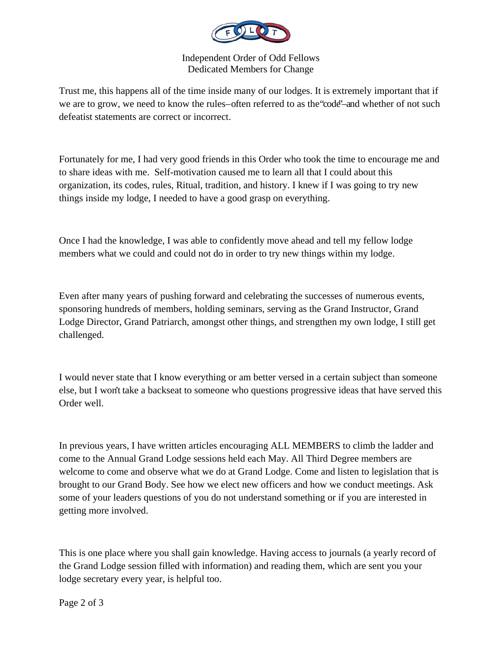

## Independent Order of Odd Fellows Dedicated Members for Change

Trust me, this happens all of the time inside many of our lodges. It is extremely important that if we are to grow, we need to know the rules-often referred to as the "code"-and whether of not such defeatist statements are correct or incorrect.

Fortunately for me, I had very good friends in this Order who took the time to encourage me and to share ideas with me. Self-motivation caused me to learn all that I could about this organization, its codes, rules, Ritual, tradition, and history. I knew if I was going to try new things inside my lodge, I needed to have a good grasp on everything.

Once I had the knowledge, I was able to confidently move ahead and tell my fellow lodge members what we could and could not do in order to try new things within my lodge.

Even after many years of pushing forward and celebrating the successes of numerous events, sponsoring hundreds of members, holding seminars, serving as the Grand Instructor, Grand Lodge Director, Grand Patriarch, amongst other things, and strengthen my own lodge, I still get challenged.

I would never state that I know everything or am better versed in a certain subject than someone else, but I won't take a backseat to someone who questions progressive ideas that have served this Order well.

In previous years, I have written articles encouraging ALL MEMBERS to climb the ladder and come to the Annual Grand Lodge sessions held each May. All Third Degree members are welcome to come and observe what we do at Grand Lodge. Come and listen to legislation that is brought to our Grand Body. See how we elect new officers and how we conduct meetings. Ask some of your leaders questions of you do not understand something or if you are interested in getting more involved.

This is one place where you shall gain knowledge. Having access to journals (a yearly record of the Grand Lodge session filled with information) and reading them, which are sent you your lodge secretary every year, is helpful too.